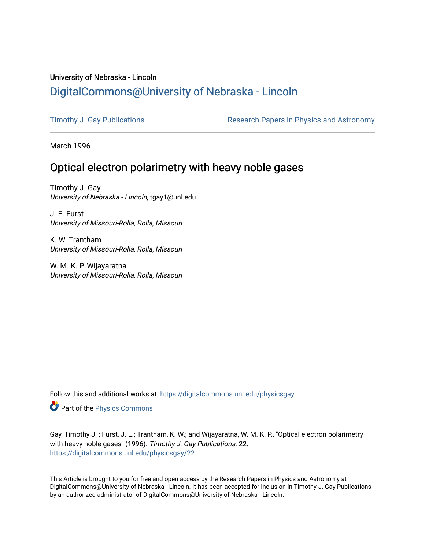## University of Nebraska - Lincoln [DigitalCommons@University of Nebraska - Lincoln](https://digitalcommons.unl.edu/)

[Timothy J. Gay Publications](https://digitalcommons.unl.edu/physicsgay) **Research Papers in Physics and Astronomy** 

March 1996

## Optical electron polarimetry with heavy noble gases

Timothy J. Gay University of Nebraska - Lincoln, tgay1@unl.edu

J. E. Furst University of Missouri-Rolla, Rolla, Missouri

K. W. Trantham University of Missouri-Rolla, Rolla, Missouri

W. M. K. P. Wijayaratna University of Missouri-Rolla, Rolla, Missouri

Follow this and additional works at: [https://digitalcommons.unl.edu/physicsgay](https://digitalcommons.unl.edu/physicsgay?utm_source=digitalcommons.unl.edu%2Fphysicsgay%2F22&utm_medium=PDF&utm_campaign=PDFCoverPages)

Part of the [Physics Commons](http://network.bepress.com/hgg/discipline/193?utm_source=digitalcommons.unl.edu%2Fphysicsgay%2F22&utm_medium=PDF&utm_campaign=PDFCoverPages)

Gay, Timothy J. ; Furst, J. E.; Trantham, K. W.; and Wijayaratna, W. M. K. P., "Optical electron polarimetry with heavy noble gases" (1996). Timothy J. Gay Publications. 22. [https://digitalcommons.unl.edu/physicsgay/22](https://digitalcommons.unl.edu/physicsgay/22?utm_source=digitalcommons.unl.edu%2Fphysicsgay%2F22&utm_medium=PDF&utm_campaign=PDFCoverPages) 

This Article is brought to you for free and open access by the Research Papers in Physics and Astronomy at DigitalCommons@University of Nebraska - Lincoln. It has been accepted for inclusion in Timothy J. Gay Publications by an authorized administrator of DigitalCommons@University of Nebraska - Lincoln.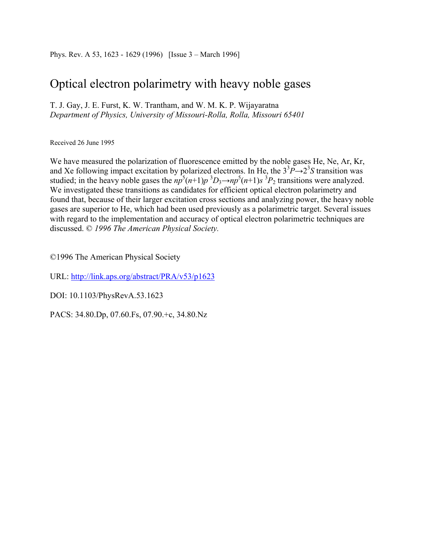# Optical electron polarimetry with heavy noble gases

T. J. Gay, J. E. Furst, K. W. Trantham, and W. M. K. P. Wijayaratna *Department of Physics, University of Missouri-Rolla, Rolla, Missouri 65401* 

Received 26 June 1995

We have measured the polarization of fluorescence emitted by the noble gases He, Ne, Ar, Kr, and Xe following impact excitation by polarized electrons. In He, the  $3^3P\rightarrow 2^3S$  transition was studied; in the heavy noble gases the  $np^5(n+1)p^3D_3 \rightarrow np^5(n+1)s^3P_2$  transitions were analyzed. We investigated these transitions as candidates for efficient optical electron polarimetry and found that, because of their larger excitation cross sections and analyzing power, the heavy noble gases are superior to He, which had been used previously as a polarimetric target. Several issues with regard to the implementation and accuracy of optical electron polarimetric techniques are discussed. © *1996 The American Physical Society.*

©1996 The American Physical Society

URL: http://link.aps.org/abstract/PRA/v53/p1623

DOI: 10.1103/PhysRevA.53.1623

PACS: 34.80.Dp, 07.60.Fs, 07.90.+c, 34.80.Nz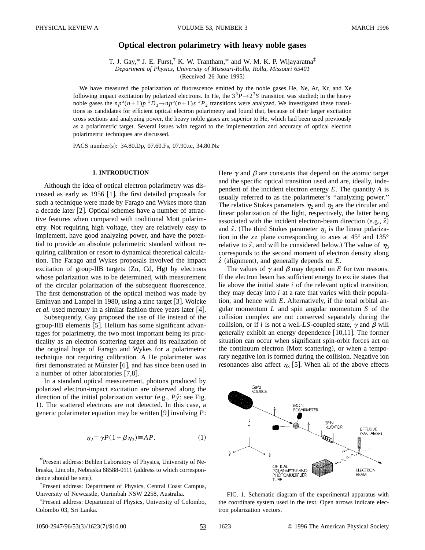### **Optical electron polarimetry with heavy noble gases**

T. J. Gay,\* J. E. Furst,<sup>†</sup> K. W. Trantham,\* and W. M. K. P. Wijayaratna<sup>‡</sup> *Department of Physics, University of Missouri-Rolla, Rolla, Missouri 65401*

 $(Received 26 June 1995)$ 

We have measured the polarization of fluorescence emitted by the noble gases He, Ne, Ar, Kr, and Xe following impact excitation by polarized electrons. In He, the  $3^3P \rightarrow 2^3S$  transition was studied; in the heavy noble gases the  $np^5(n+1)p^{-3}D_3 \rightarrow np^5(n+1)s^{-3}P_2$  transitions were analyzed. We investigated these transitions as candidates for efficient optical electron polarimetry and found that, because of their larger excitation cross sections and analyzing power, the heavy noble gases are superior to He, which had been used previously as a polarimetric target. Several issues with regard to the implementation and accuracy of optical electron polarimetric techniques are discussed.

PACS number(s): 34.80.Dp, 07.60.Fs, 07.90.tc, 34.80.Nz

#### **I. INTRODUCTION**

Although the idea of optical electron polarimetry was discussed as early as 1956  $[1]$ , the first detailed proposals for such a technique were made by Farago and Wykes more than a decade later  $[2]$ . Optical schemes have a number of attractive features when compared with traditional Mott polarimetry. Not requiring high voltage, they are relatively easy to implement, have good analyzing power, and have the potential to provide an absolute polarimetric standard without requiring calibration or resort to dynamical theoretical calculation. The Farago and Wykes proposals involved the impact excitation of group-IIB targets  $(Zn, Cd, Hg)$  by electrons whose polarization was to be determined, with measurement of the circular polarization of the subsequent fluorescence. The first demonstration of the optical method was made by Eminyan and Lampel in 1980, using a zinc target  $[3]$ . Wolcke *et al.* used mercury in a similar fashion three years later [4].

Subsequently, Gay proposed the use of He instead of the group-IIB elements [5]. Helium has some significant advantages for polarimetry, the two most important being its practicality as an electron scattering target and its realization of the original hope of Farago and Wykes for a polarimetric technique not requiring calibration. A He polarimeter was first demonstrated at Münster  $[6]$ , and has since been used in a number of other laboratories  $[7,8]$ .

In a standard optical measurement, photons produced by polarized electron-impact excitation are observed along the direction of the initial polarization vector  $(e.g., P\hat{y})$ ; see Fig. 1). The scattered electrons are not detected. In this case, a generic polarimeter equation may be written  $[9]$  involving  $P$ :

$$
\eta_2 = \gamma P (1 + \beta \eta_3) \equiv AP. \tag{1}
$$

Here  $\gamma$  and  $\beta$  are constants that depend on the atomic target and the specific optical transition used and are, ideally, independent of the incident electron energy *E*. The quantity *A* is usually referred to as the polarimeter's ''analyzing power.'' The relative Stokes parameters  $\eta_2$  and  $\eta_3$  are the circular and linear polarization of the light, respectively, the latter being associated with the incident electron-beam direction  $(e.g., \hat{z})$ and  $\hat{x}$ . (The third Stokes parameter  $\eta_1$  is the linear polarization in the  $xz$  plane corresponding to axes at  $45^{\circ}$  and  $135^{\circ}$ relative to  $\hat{z}$ , and will be considered below.) The value of  $\eta_3$ corresponds to the second moment of electron density along  $\hat{z}$  (alignment), and generally depends on  $E$ .

The values of  $\gamma$  and  $\beta$  may depend on *E* for two reasons. If the electron beam has sufficient energy to excite states that lie above the initial state *i* of the relevant optical transition, they may decay into *i* at a rate that varies with their population, and hence with *E*. Alternatively, if the total orbital angular momentum *L* and spin angular momentum *S* of the collision complex are not conserved separately during the collision, or if *i* is not a well-LS-coupled state,  $\gamma$  and  $\beta$  will generally exhibit an energy dependence  $[10,11]$ . The former situation can occur when significant spin-orbit forces act on the continuum electron (Mott scattering), or when a temporary negative ion is formed during the collision. Negative ion resonances also affect  $\eta_3$  [5]. When all of the above effects



FIG. 1. Schematic diagram of the experimental apparatus with the coordinate system used in the text. Open arrows indicate electron polarization vectors.

<sup>\*</sup>Present address: Behlen Laboratory of Physics, University of Nebraska, Lincoln, Nebraska 68588-0111 (address to which correspondence should be sent).

<sup>†</sup> Present address: Department of Physics, Central Coast Campus, University of Newcastle, Ourimbah NSW 2258, Australia.

<sup>‡</sup> Present address: Department of Physics, University of Colombo, Colombo 03, Sri Lanka.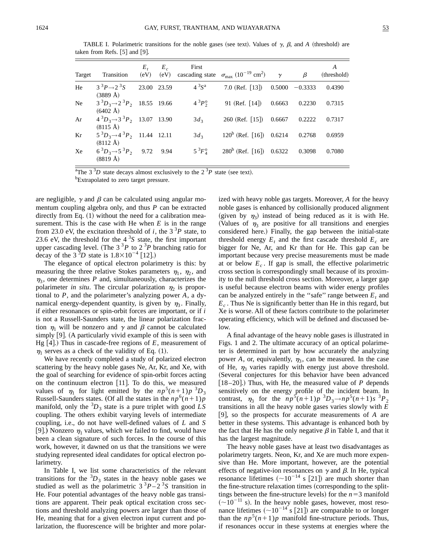Target Transition  $E$ .  $(eV)$  $E_c$  $(eV)$ First cascading state  $\sigma_{\text{max}}$  (10<sup>-19</sup> cm<sup>2</sup>)  $\gamma$   $\beta$ *A* (threshold) He  $3^3P \rightarrow 2^3S$  $(3889 \text{ Å})$ 23.00 23.59  $4^{3}S^{a}$ 7.0 (Ref. [13]) 0.5000 -0.3333 0.4390 Ne  $3^{3}D_{3} \rightarrow 2^{3}P_{2}$  $(6402 \text{ Å})$ 18.55 19.66  $4^{3}P_{2}^{0}$ 91 (Ref. [14]) 0.6663 0.2230 0.7315 Ar  $4^{3}D_{3} \rightarrow 3^{3}P_{2}$  $(8115 \text{ Å})$ 13.07 13.90  $3d_3$  260 (Ref. [15]) 0.6667 0.2222 0.7317 Kr  $5^3D_3 \rightarrow 4^3P_2$  $(8112 \text{ Å})$ 11.44 12.11  $3d_3$  120<sup>b</sup> (Ref. [16]) 0.6214 0.2768 0.6959  $Xe$  6<sup>3</sup> $D_3 \rightarrow 5^3 P_2$  $(8819 \text{ Å})$ 9.72 9.94  $5^{3}F_{4}^{0}$  $280^b$  (Ref. [16])  $0.6322$  0.3098 0.7080

TABLE I. Polarimetric transitions for the noble gases (see text). Values of  $\gamma$ ,  $\beta$ , and  $A$  (threshold) are taken from Refs.  $[5]$  and  $[9]$ .

<sup>a</sup>The 3<sup>3</sup>D state decays almost exclusively to the  $2<sup>3</sup>P$  state (see text).

<sup>b</sup>Extrapolated to zero target pressure.

are negligible,  $\gamma$  and  $\beta$  can be calculated using angular momentum coupling algebra only, and thus *P* can be extracted directly from Eq.  $(1)$  without the need for a calibration measurement. This is the case with He when *E* is in the range from 23.0 eV, the excitation threshold of *i*, the  $3^{3}P$  state, to 23.6 eV, the threshold for the  $4<sup>3</sup>S$  state, the first important upper cascading level. (The  $3<sup>3</sup>P$  to  $2<sup>3</sup>P$  branching ratio for decay of the  $3^{3}D$  state is  $1.8 \times 10^{-4}$  [12].)

The elegance of optical electron polarimetry is this: by measuring the three relative Stokes parameters  $\eta_1$ ,  $\eta_2$ , and  $\eta_3$ , one determines *P* and, simultaneously, characterizes the polarimeter *in situ*. The circular polarization  $\eta_2$  is proportional to *P*, and the polarimeter's analyzing power *A*, a dynamical energy-dependent quantity, is given by  $\eta_3$ . Finally, if either resonances or spin-orbit forces are important, or if *i* is not a Russell-Saunders state, the linear polarization fraction  $\eta_1$  will be nonzero and  $\gamma$  and  $\beta$  cannot be calculated simply  $[9]$ . (A particularly vivid example of this is seen with Hg  $[4]$ .) Thus in cascade-free regions of *E*, measurement of  $\eta_1$  serves as a check of the validity of Eq. (1).

We have recently completed a study of polarized electron scattering by the heavy noble gases Ne, Ar, Kr, and Xe, with the goal of searching for evidence of spin-orbit forces acting on the continuum electron  $[11]$ . To do this, we measured values of  $\eta_1$  for light emitted by the  $np^5(n+1)p^{-3}D_3$ Russell-Saunders states. (Of all the states in the  $np^6(n+1)p$ manifold, only the  ${}^{3}D_3$  state is a pure triplet with good *LS* coupling. The others exhibit varying levels of intermediate coupling, i.e., do not have well-defined values of *L* and *S* [9].) Nonzero  $\eta_1$  values, which we failed to find, would have been a clean signature of such forces. In the course of this work, however, it dawned on us that the transitions we were studying represented ideal candidates for optical electron polarimetry.

In Table I, we list some characteristics of the relevant transitions for the  ${}^{3}D_3$  states in the heavy noble gases we studied as well as the polarimetric  $3^{3}P-2^{3}S$  transition in He. Four potential advantages of the heavy noble gas transitions are apparent. Their peak optical excitation cross sections and threshold analyzing powers are larger than those of He, meaning that for a given electron input current and polarization, the fluorescence will be brighter and more polarized with heavy noble gas targets. Moreover, *A* for the heavy noble gases is enhanced by collisionally produced alignment (given by  $\eta_3$ ) instead of being reduced as it is with He. (Values of  $\eta_3$  are positive for all transitions and energies considered here.) Finally, the gap between the initial-state threshold energy  $E_t$  and the first cascade threshold  $E_c$  are bigger for Ne, Ar, and Kr than for He. This gap can be important because very precise measurements must be made at or below  $E_c$ . If gap is small, the effective polarimetric cross section is correspondingly small because of its proximity to the null threshold cross section. Moreover, a larger gap is useful because electron beams with wider energy profiles can be analyzed entirely in the "safe" range between  $E_t$  and *Ec* . Thus Ne is significantly better than He in this regard, but Xe is worse. All of these factors contribute to the polarimeter operating efficiency, which will be defined and discussed below.

A final advantage of the heavy noble gases is illustrated in Figs. 1 and 2. The ultimate accuracy of an optical polarimeter is determined in part by how accurately the analyzing power *A*, or, equivalently,  $\eta_3$ , can be measured. In the case of He,  $\eta_3$  varies rapidly with energy just above threshold. (Several conjectures for this behavior have been advanced  $[18 - 20]$ .) Thus, with He, the measured value of *P* depends sensitively on the energy profile of the incident beam. In contrast,  $\eta_3$  for the  $np^5(n+1)p^{3}D_3 \to np^5(n+1)s^{3}P_2$ transitions in all the heavy noble gases varies slowly with *E*  $[9]$ , so the prospects for accurate measurements of *A* are better in these systems. This advantage is enhanced both by the fact that He has the only negative  $\beta$  in Table I, and that it has the largest magnitude.

The heavy noble gases have at least two disadvantages as polarimetry targets. Neon, Kr, and Xe are much more expensive than He. More important, however, are the potential effects of negative-ion resonances on  $\gamma$  and  $\beta$ . In He, typical resonance lifetimes  $({\sim}10^{-14} \text{ s } [21])$  are much shorter than the fine-structure relaxation times (corresponding to the splittings between the fine-structure levels) for the  $n=3$  manifold  $(\sim 10^{-11}$  s). In the heavy noble gases, however, most resonance lifetimes  $({\sim}10^{-14} \text{ s } [21])$  are comparable to or longer than the  $np^5(n+1)p$  manifold fine-structure periods. Thus, if resonances occur in these systems at energies where the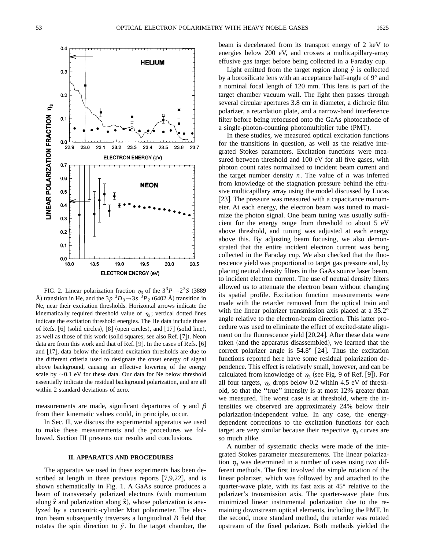

FIG. 2. Linear polarization fraction  $\eta_3$  of the  $3^3P\rightarrow 2^3S$  (3889) Å) transition in He, and the  $3p<sup>3</sup>D_3 \rightarrow 3s<sup>3</sup>P_2$  (6402 Å) transition in Ne, near their excitation thresholds. Horizontal arrows indicate the kinematically required threshold value of  $\eta_3$ ; vertical dotted lines indicate the excitation threshold energies. The He data include those of Refs.  $[6]$  (solid circles),  $[8]$  (open circles), and  $[17]$  (solid line), as well as those of this work (solid squares; see also Ref. [7]). Neon data are from this work and that of Ref.  $[9]$ . In the cases of Refs.  $[6]$ and  $[17]$ , data below the indicated excitation thresholds are due to the different criteria used to designate the onset energy of signal above background, causing an effective lowering of the energy scale by  $\sim$ 0.1 eV for these data. Our data for Ne below threshold essentially indicate the residual background polarization, and are all within 2 standard deviations of zero.

measurements are made, significant departures of  $\gamma$  and  $\beta$ from their kinematic values could, in principle, occur.

In Sec. II, we discuss the experimental apparatus we used to make these measurements and the procedures we followed. Section III presents our results and conclusions.

#### **II. APPARATUS AND PROCEDURES**

The apparatus we used in these experiments has been described at length in three previous reports  $[7,9,22]$ , and is shown schematically in Fig. 1. A GaAs source produces a beam of transversely polarized electrons (with momentum along  $\hat{z}$  and polarization along  $\hat{x}$ ), whose polarization is analyzed by a concentric-cylinder Mott polarimeter. The electron beam subsequently traverses a longitudinal *B* field that rotates the spin direction to  $\hat{y}$ . In the target chamber, the beam is decelerated from its transport energy of 2 keV to energies below 200 eV, and crosses a multicapillary-array effusive gas target before being collected in a Faraday cup.

Light emitted from the target region along  $\hat{y}$  is collected by a borosilicate lens with an acceptance half-angle of 9° and a nominal focal length of 120 mm. This lens is part of the target chamber vacuum wall. The light then passes through several circular apertures 3.8 cm in diameter, a dichroic film polarizer, a retardation plate, and a narrow-band interference filter before being refocused onto the GaAs photocathode of a single-photon-counting photomultiplier tube (PMT).

In these studies, we measured optical excitation functions for the transitions in question, as well as the relative integrated Stokes parameters. Excitation functions were measured between threshold and 100 eV for all five gases, with photon count rates normalized to incident beam current and the target number density *n*. The value of *n* was inferred from knowledge of the stagnation pressure behind the effusive multicapillary array using the model discussed by Lucas [23]. The pressure was measured with a capacitance manometer. At each energy, the electron beam was tuned to maximize the photon signal. One beam tuning was usually sufficient for the energy range from threshold to about 5 eV above threshold, and tuning was adjusted at each energy above this. By adjusting beam focusing, we also demonstrated that the entire incident electron current was being collected in the Faraday cup. We also checked that the fluorescence yield was proportional to target gas pressure and, by placing neutral density filters in the GaAs source laser beam, to incident electron current. The use of neutral density filters allowed us to attenuate the electron beam without changing its spatial profile. Excitation function measurements were made with the retarder removed from the optical train and with the linear polarizer transmission axis placed at a 35.2° angle relative to the electron-beam direction. This latter procedure was used to eliminate the effect of excited-state alignment on the fluorescence yield  $[20,24]$ . After these data were taken (and the apparatus disassembled), we learned that the correct polarizer angle is  $54.8^{\circ}$  [24]. Thus the excitation functions reported here have some residual polarization dependence. This effect is relatively small, however, and can be calculated from knowledge of  $\eta_3$  (see Fig. 9 of Ref. [9]). For all four targets,  $\eta_3$  drops below 0.2 within 4.5 eV of threshold, so that the ''true'' intensity is at most 12% greater than we measured. The worst case is at threshold, where the intensities we observed are approximately 24% below their polarization-independent value. In any case, the energydependent corrections to the excitation functions for each target are very similar because their respective  $\eta_3$  curves are so much alike.

A number of systematic checks were made of the integrated Stokes parameter measurements. The linear polarization  $\eta_3$  was determined in a number of cases using two different methods. The first involved the simple rotation of the linear polarizer, which was followed by and attached to the quarter-wave plate, with its fast axis at 45° relative to the polarizer's transmission axis. The quarter-wave plate thus minimized linear instrumental polarization due to the remaining downstream optical elements, including the PMT. In the second, more standard method, the retarder was rotated upstream of the fixed polarizer. Both methods yielded the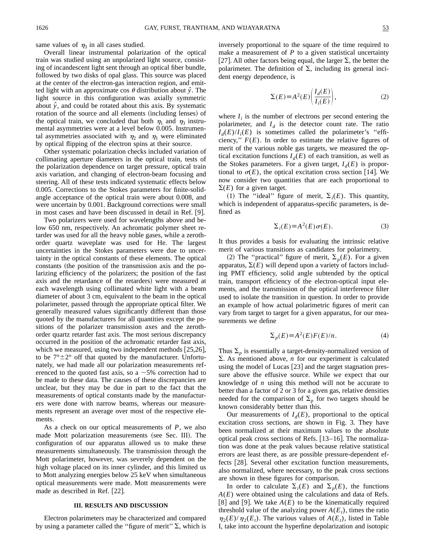same values of  $\eta_3$  in all cases studied.

Overall linear instrumental polarization of the optical train was studied using an unpolarized light source, consisting of incandescent light sent through an optical fiber bundle, followed by two disks of opal glass. This source was placed at the center of the electron-gas interaction region, and emitted light with an approximate cos  $\theta$  distribution about  $\hat{y}$ . The light source in this configuration was axially symmetric about  $\hat{y}$ , and could be rotated about this axis. By systematic rotation of the source and all elements (including lenses) of the optical train, we concluded that both  $\eta_1$  and  $\eta_3$  instrumental asymmetries were at a level below 0.005. Instrumental asymmetries associated with  $\eta_2$  and  $\eta_1$  were eliminated by optical flipping of the electron spins at their source.

Other systematic polarization checks included variation of collimating aperture diameters in the optical train, tests of the polarization dependence on target pressure, optical train axis variation, and changing of electron-beam focusing and steering. All of these tests indicated systematic effects below 0.005. Corrections to the Stokes parameters for finite-solidangle acceptance of the optical train were about 0.008, and were uncertain by 0.001. Background corrections were small in most cases and have been discussed in detail in Ref.  $[9]$ .

Two polarizers were used for wavelengths above and below 650 nm, respectively. An achromatic polymer sheet retarder was used for all the heavy noble gases, while a zerothorder quartz waveplate was used for He. The largest uncertainties in the Stokes parameters were due to uncertainty in the optical constants of these elements. The optical constants (the position of the transmission axis and the polarizing efficiency of the polarizers; the position of the fast axis and the retardance of the retarders) were measured at each wavelength using collimated white light with a beam diameter of about 3 cm, equivalent to the beam in the optical polarimeter, passed through the appropriate optical filter. We generally measured values significantly different than those quoted by the manufacturers for all quantities except the positions of the polarizer transmission axes and the zerothorder quartz retarder fast axis. The most serious discrepancy occurred in the position of the achromatic retarder fast axis, which we measured, using two independent methods  $\left[25,26\right],$ to be  $7^{\circ} \pm 2^{\circ}$  off that quoted by the manufacturer. Unfortunately, we had made all our polarization measurements referenced to the quoted fast axis, so a  $\sim$  5% correction had to be made to these data. The causes of these discrepancies are unclear, but they may be due in part to the fact that the measurements of optical constants made by the manufacturers were done with narrow beams, whereas our measurements represent an average over most of the respective elements.

As a check on our optical measurements of *P*, we also made Mott polarization measurements (see Sec. III). The configuration of our apparatus allowed us to make these measurements simultaneously. The transmission through the Mott polarimeter, however, was severely dependent on the high voltage placed on its inner cylinder, and this limited us to Mott analyzing energies below 25 keV when simultaneous optical measurements were made. Mott measurements were made as described in Ref. [22].

#### **III. RESULTS AND DISCUSSION**

Electron polarimeters may be characterized and compared by using a parameter called the "figure of merit"  $\Sigma$ , which is inversely proportional to the square of the time required to make a measurement of  $P$  to a given statistical uncertainty [27]. All other factors being equal, the larger  $\Sigma$ , the better the polarimeter. The definition of  $\Sigma$ , including its general incident energy dependence, is

$$
\Sigma(E) \equiv A^2(E) \left( \frac{I_d(E)}{I_i(E)} \right),\tag{2}
$$

where  $I_i$  is the number of electrons per second entering the polarimeter, and  $I_d$  is the detector count rate. The ratio  $I_d(E)/I_i(E)$  is sometimes called the polarimeter's "efficiency,"  $F(E)$ . In order to estimate the relative figures of merit of the various noble gas targets, we measured the optical excitation functions  $I_d(E)$  of each transition, as well as the Stokes parameters. For a given target,  $I_d(E)$  is proportional to  $\sigma(E)$ , the optical excitation cross section [14]. We now consider two quantities that are each proportional to  $\Sigma(E)$  for a given target.

(1) The "ideal" figure of merit,  $\Sigma_i(E)$ . This quantity, which is independent of apparatus-specific parameters, is defined as

$$
\Sigma_i(E) \equiv A^2(E)\sigma(E). \tag{3}
$$

It thus provides a basis for evaluating the intrinsic relative merit of various transitions as candidates for polarimetry.

(2) The "practical" figure of merit,  $\Sigma_p(E)$ . For a given apparatus,  $\Sigma(E)$  will depend upon a variety of factors including PMT efficiency, solid angle subtended by the optical train, transport efficiency of the electron-optical input elements, and the transmission of the optical interference filter used to isolate the transition in question. In order to provide an example of how actual polarimetric figures of merit can vary from target to target for a given apparatus, for our measurements we define

$$
\Sigma_p(E) \equiv A^2(E) F(E)/n. \tag{4}
$$

Thus  $\Sigma_p$  is essentially a target-density-normalized version of  $\Sigma$ . As mentioned above, *n* for our experiment is calculated using the model of Lucas  $[23]$  and the target stagnation pressure above the effusive source. While we expect that our knowledge of *n* using this method will not be accurate to better than a factor of 2 or 3 for a given gas, relative densities needed for the comparison of  $\Sigma_p$  for two targets should be known considerably better than this.

Our measurements of  $I_d(E)$ , proportional to the optical excitation cross sections, are shown in Fig. 3. They have been normalized at their maximum values to the absolute optical peak cross sections of Refs.  $[13–16]$ . The normalization was done at the peak values because relative statistical errors are least there, as are possible pressure-dependent effects [28]. Several other excitation function measurements, also normalized, where necessary, to the peak cross sections are shown in these figures for comparison.

In order to calculate  $\Sigma_i(E)$  and  $\Sigma_p(E)$ , the functions *A*(*E*) were obtained using the calculations and data of Refs.  $|8|$  and  $|9|$ . We take  $A(E)$  to be the kinematically required threshold value of the analyzing power  $A(E_t)$ , times the ratio  $\eta_2(E)/\eta_2(E_t)$ . The various values of  $A(E_t)$ , listed in Table I, take into account the hyperfine depolarization and isotopic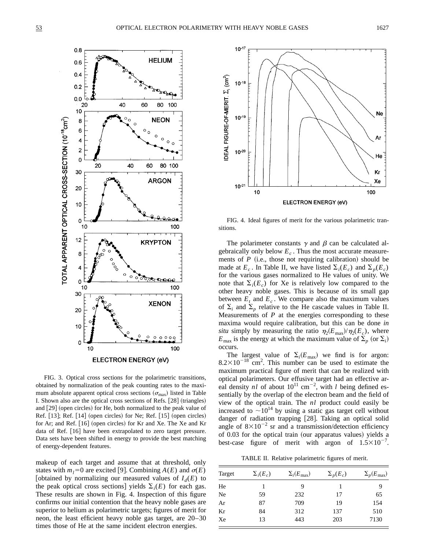

FIG. 3. Optical cross sections for the polarimetric transitions, obtained by normalization of the peak counting rates to the maximum absolute apparent optical cross sections  $(\sigma_{\text{max}})$  listed in Table I. Shown also are the optical cross sections of Refs. [28] (triangles) and [29] (open circles) for He, both normalized to the peak value of Ref.  $[13]$ ; Ref.  $[14]$  (open circles) for Ne; Ref.  $[15]$  (open circles) for Ar; and Ref.  $[16]$  (open circles) for Kr and Xe. The Xe and Kr data of Ref. [16] have been extrapolated to zero target pressure. Data sets have been shifted in energy to provide the best matching of energy-dependent features.

makeup of each target and assume that at threshold, only states with  $m_l=0$  are excited [9]. Combining  $A(E)$  and  $\sigma(E)$ [obtained by normalizing our measured values of  $I_d(E)$  to the peak optical cross sections] yields  $\Sigma_i(E)$  for each gas. These results are shown in Fig. 4. Inspection of this figure confirms our initial contention that the heavy noble gases are superior to helium as polarimetric targets; figures of merit for neon, the least efficient heavy noble gas target, are 20–30 times those of He at the same incident electron energies.



FIG. 4. Ideal figures of merit for the various polarimetric transitions.

The polarimeter constants  $\gamma$  and  $\beta$  can be calculated algebraically only below  $E_c$ . Thus the most accurate measurements of  $P$  (i.e., those not requiring calibration) should be made at  $E_c$ . In Table II, we have listed  $\sum_i(E_c)$  and  $\sum_p(E_c)$ for the various gases normalized to He values of unity. We note that  $\Sigma_i(E_c)$  for Xe is relatively low compared to the other heavy noble gases. This is because of its small gap between  $E_t$  and  $E_c$ . We compare also the maximum values of  $\Sigma_i$  and  $\Sigma_p$  relative to the He cascade values in Table II. Measurements of  $P$  at the energies corresponding to these maxima would require calibration, but this can be done *in situ* simply by measuring the ratio  $\eta_2(E_{\text{max}})/\eta_2(E_c)$ , where  $E_{\text{max}}$  is the energy at which the maximum value of  $\Sigma_p$  (or  $\Sigma_i$ ) occurs.

The largest value of  $\Sigma_i(E_{\text{max}})$  we find is for argon:  $8.2 \times 10^{-18}$  cm<sup>2</sup>. This number can be used to estimate the maximum practical figure of merit that can be realized with optical polarimeters. Our effusive target had an effective areal density  $nl$  of about  $10^{11}$  cm<sup>-2</sup>, with *l* being defined essentially by the overlap of the electron beam and the field of view of the optical train. The *nl* product could easily be increased to  $\sim 10^{14}$  by using a static gas target cell without danger of radiation trapping [28]. Taking an optical solid angle of  $8\times10^{-2}$  sr and a transmission/detection efficiency of 0.03 for the optical train (our apparatus values) yields a best-case figure of merit with argon of  $1.5 \times 10^{-7}$ .

TABLE II. Relative polarimetric figures of merit.

| Target | $\Sigma_i(E_c)$ | $\Sigma_i(E_{\text{max}})$ | $\Sigma_p(E_c)$ | $\Sigma_p(E_{\text{max}})$ |
|--------|-----------------|----------------------------|-----------------|----------------------------|
| He     |                 | 9                          |                 |                            |
| Ne     | 59              | 232                        | 17              | 65                         |
| Ar     | 87              | 709                        | 19              | 154                        |
| Kr     | 84              | 312                        | 137             | 510                        |
| Xe     | 13              | 443                        | 203             | 7130                       |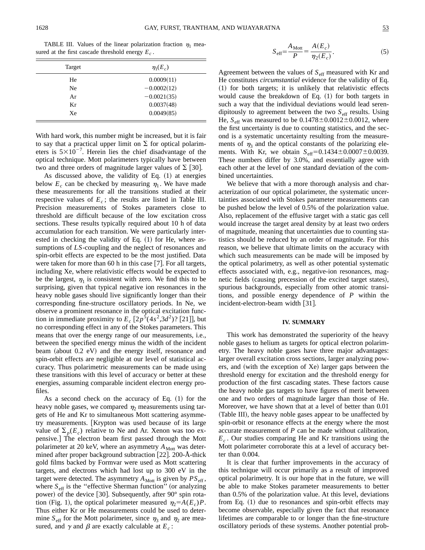TABLE III. Values of the linear polarization fraction  $\eta_1$  measured at the first cascade threshold energy  $E_c$ .

| Target | $\eta_1(E_c)$ |
|--------|---------------|
| He     | 0.0009(11)    |
| Ne     | $-0.0002(12)$ |
| Ar     | $-0.0021(35)$ |
| Кr     | 0.0037(48)    |
| Xe     | 0.0049(85)    |

With hard work, this number might be increased, but it is fair to say that a practical upper limit on  $\Sigma$  for optical polarimeters is  $5 \times 10^{-7}$ . Herein lies the chief disadvantage of the optical technique. Mott polarimeters typically have between two and three orders of magnitude larger values of  $\Sigma$  [30].

As discussed above, the validity of Eq.  $(1)$  at energies below  $E_c$  can be checked by measuring  $\eta_1$ . We have made these measurements for all the transitions studied at their respective values of  $E_c$ ; the results are listed in Table III. Precision measurements of Stokes parameters close to threshold are difficult because of the low excitation cross sections. These results typically required about 10 h of data accumulation for each transition. We were particularly interested in checking the validity of Eq.  $(1)$  for He, where assumptions of *LS*-coupling and the neglect of resonances and spin-orbit effects are expected to be the most justified. Data were taken for more than 60 h in this case  $[7]$ . For all targets, including Xe, where relativistic effects would be expected to be the largest,  $\eta_1$  is consistent with zero. We find this to be surprising, given that typical negative ion resonances in the heavy noble gases should live significantly longer than their corresponding fine-structure oscillatory periods. In Ne, we observe a prominent resonance in the optical excitation function in immediate proximity to  $E_c$   $[2p^5(4s^2,3d^2)$ ? [21]], but no corresponding effect in any of the Stokes parameters. This means that over the energy range of our measurements, i.e., between the specified energy minus the width of the incident beam (about  $0.2$  eV) and the energy itself, resonance and spin-orbit effects are negligible at our level of statistical accuracy. Thus polarimetric measurements can be made using these transitions with this level of accuracy or better at these energies, assuming comparable incident electron energy profiles.

As a second check on the accuracy of Eq.  $(1)$  for the heavy noble gases, we compared  $\eta_2$  measurements using targets of He and Kr to simultaneous Mott scattering asymmetry measurements. [Krypton was used because of its large value of  $\Sigma_n(E_c)$  relative to Ne and Ar. Xenon was too expensive.] The electron beam first passed through the Mott polarimeter at 20 keV, where an asymmetry  $A_{Mott}$  was determined after proper background subtraction  $[22]$ . 200-Å-thick gold films backed by Formvar were used as Mott scattering targets, and electrons which had lost up to 300 eV in the target were detected. The asymmetry  $A_{\text{Mott}}$  is given by  $PS_{\text{eff}}$ , where  $S_{\text{eff}}$  is the "effective Sherman function" (or analyzing power) of the device  $|30|$ . Subsequently, after 90 $^{\circ}$  spin rotation (Fig. 1), the optical polarimeter measured  $\eta_2 = A(E_c)P$ . Thus either Kr or He measurements could be used to determine  $S_{\text{eff}}$  for the Mott polarimeter, since  $\eta_3$  and  $\eta_2$  are measured, and  $\gamma$  and  $\beta$  are exactly calculable at  $E_c$ :

$$
S_{\text{eff}} = \frac{A_{\text{Mott}}}{P} = \frac{A(E_c)}{\eta_2(E_c)}.
$$
 (5)

Agreement between the values of  $S_{\text{eff}}$  measured with Kr and He constitutes *circumstantial* evidence for the validity of Eq.  $(1)$  for both targets; it is unlikely that relativistic effects would cause the breakdown of Eq.  $(1)$  for both targets in such a way that the individual deviations would lead serendipitously to agreement between the two  $S_{\text{eff}}$  results. Using He,  $S_{\text{eff}}$  was measured to be  $0.1478 \pm 0.0012 \pm 0.0012$ , where the first uncertainty is due to counting statistics, and the second is a systematic uncertainty resulting from the measurements of  $\eta_3$  and the optical constants of the polarizing elements. With Kr, we obtain  $S_{\text{eff}}=0.1434\pm0.0007\pm0.0039$ . These numbers differ by 3.0%, and essentially agree with each other at the level of one standard deviation of the combined uncertainties.

We believe that with a more thorough analysis and characterization of our optical polarimeter, the systematic uncertainties associated with Stokes parameter measurements can be pushed below the level of 0.5% of the polarization value. Also, replacement of the effusive target with a static gas cell would increase the target areal density by at least two orders of magnitude, meaning that uncertainties due to counting statistics should be reduced by an order of magnitude. For this reason, we believe that ultimate limits on the accuracy with which such measurements can be made will be imposed by the optical polarimetry, as well as other potential systematic effects associated with, e.g., negative-ion resonances, magnetic fields (causing precession of the excited target states), spurious backgrounds, especially from other atomic transitions, and possible energy dependence of *P* within the incident-electron-beam width  $[31]$ .

#### **IV. SUMMARY**

This work has demonstrated the superiority of the heavy noble gases to helium as targets for optical electron polarimetry. The heavy noble gases have three major advantages: larger overall excitation cross sections, larger analyzing powers, and (with the exception of Xe) larger gaps between the threshold energy for excitation and the threshold energy for production of the first cascading states. These factors cause the heavy noble gas targets to have figures of merit between one and two orders of magnitude larger than those of He. Moreover, we have shown that at a level of better than 0.01 (Table III), the heavy noble gases appear to be unaffected by spin-orbit or resonance effects at the energy where the most accurate measurement of *P* can be made without calibration,  $E_c$ . Our studies comparing He and Kr transitions using the Mott polarimeter corroborate this at a level of accuracy better than 0.004.

It is clear that further improvements in the accuracy of this technique will occur primarily as a result of improved optical polarimetry. It is our hope that in the future, we will be able to make Stokes parameter measurements to better than 0.5% of the polarization value. At this level, deviations from Eq.  $(1)$  due to resonances and spin-orbit effects may become observable, especially given the fact that resonance lifetimes are comparable to or longer than the fine-structure oscillatory periods of these systems. Another potential prob